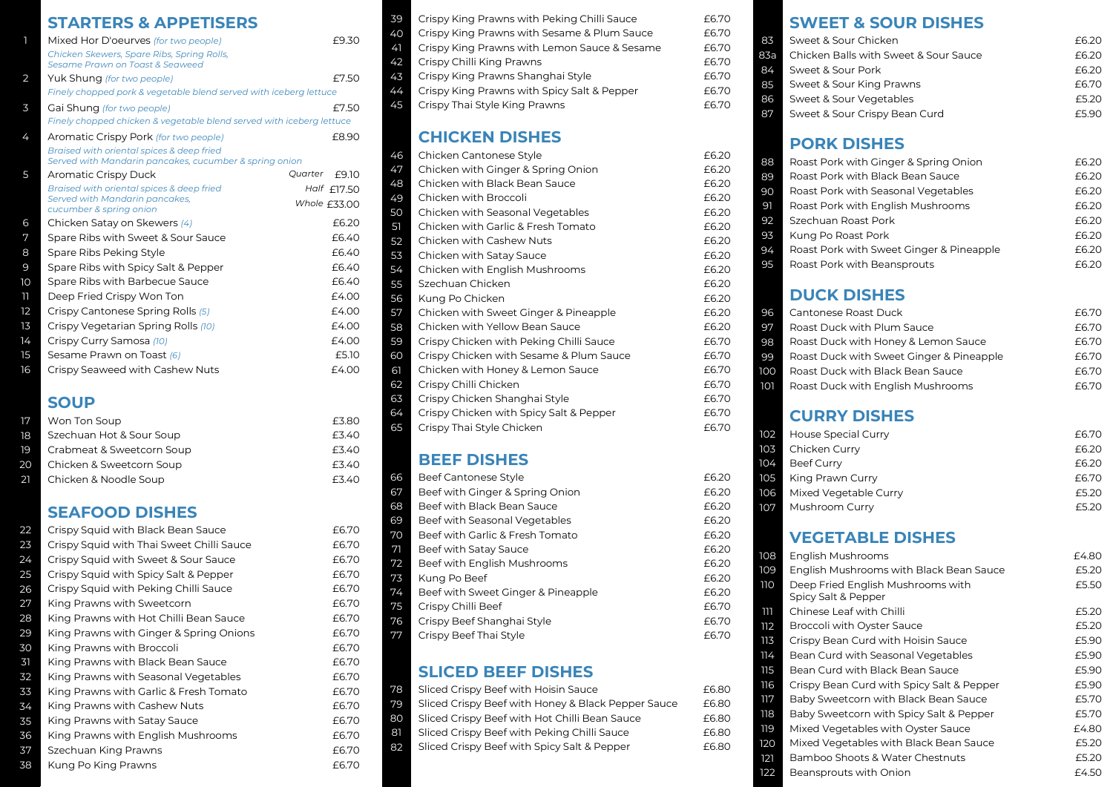## **STARTERS & APPETISERS**

| 1  | Mixed Hor D'oeurves (for two people)                                                                | £9.30            |
|----|-----------------------------------------------------------------------------------------------------|------------------|
|    | Chicken Skewers, Spare Ribs, Spring Rolls,<br>Sesame Prawn on Toast & Seaweed                       |                  |
| 2  | Yuk Shung (for two people)                                                                          | £7.50            |
|    | Finely chopped pork & vegetable blend served with iceberg lettuce                                   |                  |
| 3  | Gai Shung (for two people)                                                                          | £7.50            |
|    | Finely chopped chicken & vegetable blend served with iceberg lettuce                                |                  |
| 4  | Aromatic Crispy Pork (for two people)                                                               | £8.90            |
|    | Braised with oriental spices & deep fried<br>Served with Mandarin pancakes, cucumber & spring onion |                  |
| 5  | Aromatic Crispy Duck                                                                                | Quarter<br>£9.10 |
|    | Braised with oriental spices & deep fried                                                           | Half $f$ 17.50   |
|    | Served with Mandarin pancakes,<br>cucumber & spring onion                                           | Whole $£33.00$   |
| 6  | Chicken Satay on Skewers (4)                                                                        | £6.20            |
| 7  | Spare Ribs with Sweet & Sour Sauce                                                                  | f640             |
| 8  | Spare Ribs Peking Style                                                                             | £6.40            |
| 9  | Spare Ribs with Spicy Salt & Pepper                                                                 | £6.40            |
| 10 | Spare Ribs with Barbecue Sauce                                                                      | f640             |
| וו | Deep Fried Crispy Won Ton                                                                           | £4.00            |
| 12 | Crispy Cantonese Spring Rolls (5)                                                                   | £4.00            |
| 13 | Crispy Vegetarian Spring Rolls (10)                                                                 | £4.00            |
| 14 | Crispy Curry Samosa (10)                                                                            | £4.00            |
| 15 | Sesame Prawn on Toast (6)                                                                           | £5.10            |
| 16 | Crispy Seaweed with Cashew Nuts                                                                     | £4.00            |

# **SOUP**

| Won Ton Soup              | £3.80 |
|---------------------------|-------|
| Szechuan Hot & Sour Soup  | £3.40 |
| Crabmeat & Sweetcorn Soup | £3.40 |
| Chicken & Sweetcorn Soup  | £3.40 |
| Chicken & Noodle Soup     | £3.40 |
|                           |       |

# **SEAFOOD DISHES**

| 22 | Crispy Squid with Black Bean Sauce        | £6.70 |
|----|-------------------------------------------|-------|
| 23 | Crispy Squid with Thai Sweet Chilli Sauce | £6.70 |
| 24 | Crispy Squid with Sweet & Sour Sauce      | £6.70 |
| 25 | Crispy Squid with Spicy Salt & Pepper     | £6.70 |
| 26 | Crispy Squid with Peking Chilli Sauce     | £6.70 |
| 27 | King Prawns with Sweetcorn                | £6.70 |
| 28 | King Prawns with Hot Chilli Bean Sauce    | £6.70 |
| 29 | King Prawns with Ginger & Spring Onions   | £6.70 |
| 30 | King Prawns with Broccoli                 | £6.70 |
| 31 | King Prawns with Black Bean Sauce         | £6.70 |
| 32 | King Prawns with Seasonal Vegetables      | £6.70 |
| 33 | King Prawns with Garlic & Fresh Tomato    | £6.70 |
| 34 | King Prawns with Cashew Nuts              | £6.70 |
| 35 | King Prawns with Satay Sauce              | £6.70 |
| 36 | King Prawns with English Mushrooms        | £6.70 |
| 37 | Szechuan King Prawns                      | £6.70 |
| 38 | Kung Po King Prawns                       | £6.70 |

| 39 | Crispy King Prawns with Peking Chilli Sauce  | £6.70 |
|----|----------------------------------------------|-------|
| 40 | Crispy King Prawns with Sesame & Plum Sauce  | £6.70 |
| 41 | Crispy King Prawns with Lemon Sauce & Sesame | £6.70 |
| 42 | Crispy Chilli King Prawns                    | £6.70 |
| 43 | Crispy King Prawns Shanghai Style            | £6.70 |
| 44 | Crispy King Prawns with Spicy Salt & Pepper  | £6.70 |
| 45 | Crispy Thai Style King Prawns                | £6.70 |
|    |                                              |       |

# **CHICKEN DISHES**

| 46 | Chicken Cantonese Style                 | £6.20 |
|----|-----------------------------------------|-------|
| 47 | Chicken with Ginger & Spring Onion      | £6.20 |
| 48 | Chicken with Black Bean Sauce           | £6.20 |
| 49 | Chicken with Broccoli                   | £6.20 |
| 50 | Chicken with Seasonal Vegetables        | £6.20 |
| 51 | Chicken with Garlic & Fresh Tomato      | £6.20 |
| 52 | Chicken with Cashew Nuts                | £6.20 |
| 53 | Chicken with Satay Sauce                | £6.20 |
| 54 | Chicken with English Mushrooms          | £6.20 |
| 55 | Szechuan Chicken                        | £6.20 |
| 56 | Kung Po Chicken                         | £6.20 |
| 57 | Chicken with Sweet Ginger & Pineapple   | £6.20 |
| 58 | Chicken with Yellow Bean Sauce          | £6.20 |
| 59 | Crispy Chicken with Peking Chilli Sauce | £6.70 |
| 60 | Crispy Chicken with Sesame & Plum Sauce | £6.70 |
| 61 | Chicken with Honey & Lemon Sauce        | £6.70 |
| 62 | Crispy Chilli Chicken                   | £6.70 |
| 63 | Crispy Chicken Shanghai Style           | £6.70 |
| 64 | Crispy Chicken with Spicy Salt & Pepper | £6.70 |
| 65 | Crispy Thai Style Chicken               | £6.70 |

# **BEEF DISHES**

| 66 | Beef Cantonese Style               | £6.20 |
|----|------------------------------------|-------|
| 67 | Beef with Ginger & Spring Onion    | £6.20 |
| 68 | Beef with Black Bean Sauce         | £6.20 |
| 69 | Beef with Seasonal Vegetables      | £6.20 |
| 70 | Beef with Garlic & Fresh Tomato    | £6.20 |
| 71 | Beef with Satay Sauce              | £6.20 |
| 72 | Beef with English Mushrooms        | £6.20 |
| 73 | Kung Po Beef                       | £6.20 |
| 74 | Beef with Sweet Ginger & Pineapple | £6.20 |
| 75 | Crispy Chilli Beef                 | £6.70 |
| 76 | Crispy Beef Shanghai Style         | £6.70 |
| 77 | Crispy Beef Thai Style             | £6.70 |
|    |                                    |       |

# **SLICED BEEF DISHES**

| 78 | Sliced Crispy Beef with Hoisin Sauce               | £6.80 |
|----|----------------------------------------------------|-------|
| 79 | Sliced Crispy Beef with Honey & Black Pepper Sauce | £6.80 |
| 80 | Sliced Crispy Beef with Hot Chilli Bean Sauce      | £6.80 |
| 81 | Sliced Crispy Beef with Peking Chilli Sauce        | £6.80 |
| 82 | Sliced Crispy Beef with Spicy Salt & Pepper        | £6.80 |
|    |                                                    |       |

# **SWEET & SOUR DISHES**

| 83. | Sweet & Sour Chicken                  | F620. |
|-----|---------------------------------------|-------|
| 83a | Chicken Balls with Sweet & Sour Sauce | £6.20 |
| 84. | Sweet & Sour Pork                     | £6.20 |
| 85  | Sweet & Sour King Prawns              | £6.70 |
| 86  | Sweet & Sour Vegetables               | £5.20 |
| 87  | Sweet & Sour Crispy Bean Curd         | £5.90 |

# **PORK DISHES**

| 88 | Roast Pork with Ginger & Spring Onion    | £6.20 |
|----|------------------------------------------|-------|
| 89 | Roast Pork with Black Bean Sauce         | £6.20 |
| 90 | Roast Pork with Seasonal Vegetables      | £6.20 |
| 91 | Roast Pork with English Mushrooms        | £6.20 |
| 92 | Szechuan Roast Pork                      | £6.20 |
| 93 | Kung Po Roast Pork                       | £6.20 |
| 94 | Roast Pork with Sweet Ginger & Pineapple | £6.20 |
| 95 | Roast Pork with Beansprouts              | £6.20 |
|    |                                          |       |

# **DUCK DISHES**

| 96  | Cantonese Roast Duck                     | £6.70 |
|-----|------------------------------------------|-------|
| 97  | Roast Duck with Plum Sauce               | £6.70 |
| 98  | Roast Duck with Honey & Lemon Sauce      | £6.70 |
| 99  | Roast Duck with Sweet Ginger & Pineapple | £6.70 |
| 100 | Roast Duck with Black Bean Sauce         | £6.70 |
| 101 | Roast Duck with English Mushrooms        | £6.70 |
|     |                                          |       |

# **CURRY DISHES**

|       | <b>102</b> House Special Curry | £6.70 |
|-------|--------------------------------|-------|
|       | 103 Chicken Curry              | £6.20 |
| 104   | Beef Curry                     | £6.20 |
| 105 I | King Prawn Curry               | £6.70 |
| 106   | Mixed Vegetable Curry          | £5.20 |
| 107   | Mushroom Curry                 | F520  |

# **VEGETABLE DISHES**

| 108 | English Mushrooms                                        | £4.80 |
|-----|----------------------------------------------------------|-------|
| 109 | English Mushrooms with Black Bean Sauce                  | £5.20 |
| 110 | Deep Fried English Mushrooms with<br>Spicy Salt & Pepper | £5.50 |
| ווו | Chinese Leaf with Chilli                                 | £5.20 |
| 112 | <b>Broccoli with Oyster Sauce</b>                        | £5.20 |
| 113 | Crispy Bean Curd with Hoisin Sauce                       | £5.90 |
| 114 | Bean Curd with Seasonal Vegetables                       | £5.90 |
| 115 | Bean Curd with Black Bean Sauce                          | £5.90 |
| 116 | Crispy Bean Curd with Spicy Salt & Pepper                | £5.90 |
| 117 | Baby Sweetcorn with Black Bean Sauce                     | £5.70 |
| 118 | Baby Sweetcorn with Spicy Salt & Pepper                  | £5.70 |
| 119 | Mixed Vegetables with Oyster Sauce                       | £4.80 |
| 120 | Mixed Vegetables with Black Bean Sauce                   | £5.20 |
| 121 | Bamboo Shoots & Water Chestnuts                          | £5.20 |
| 122 | Beansprouts with Onion                                   | £4.50 |